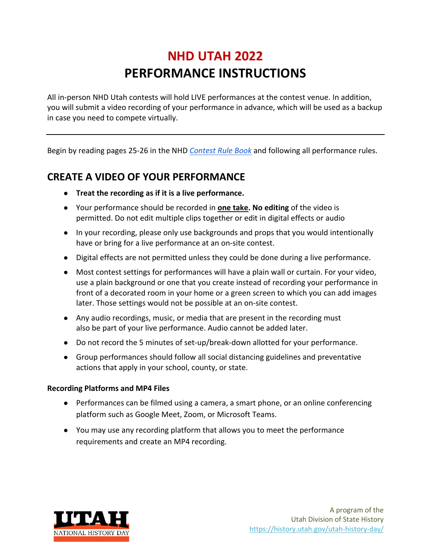# **NHD UTAH 2022 PERFORMANCE INSTRUCTIONS**

All in-person NHD Utah contests will hold LIVE performances at the contest venue. In addition, you will submit a video recording of your performance in advance, which will be used as a backup in case you need to compete virtually.

Begin by reading pages 25-26 in the NHD *Contest Rule Book* and following all performance rules.

## **CREATE A VIDEO OF YOUR PERFORMANCE**

- **● Treat the recording as if it is a live performance.**
- **●** Your performance should be recorded in **one take. No editing** of the video is permitted. Do not edit multiple clips together or edit in digital effects or audio
- **●** In your recording, please only use backgrounds and props that you would intentionally have or bring for a live performance at an on-site contest.
- **●** Digital effects are not permitted unless they could be done during a live performance.
- **●** Most contest settings for performances will have a plain wall or curtain. For your video, use a plain background or one that you create instead of recording your performance in front of a decorated room in your home or a green screen to which you can add images later. Those settings would not be possible at an on-site contest.
- Any audio recordings, music, or media that are present in the recording must also be part of your live performance. Audio cannot be added later.
- Do not record the 5 minutes of set-up/break-down allotted for your performance.
- Group performances should follow all social distancing guidelines and preventative actions that apply in your school, county, or state.

#### **Recording Platforms and MP4 Files**

- **●** Performances can be filmed using a camera, a smart phone, or an online conferencing platform such as Google Meet, Zoom, or Microsoft Teams.
- **●** You may use any recording platform that allows you to meet the performance requirements and create an MP4 recording.